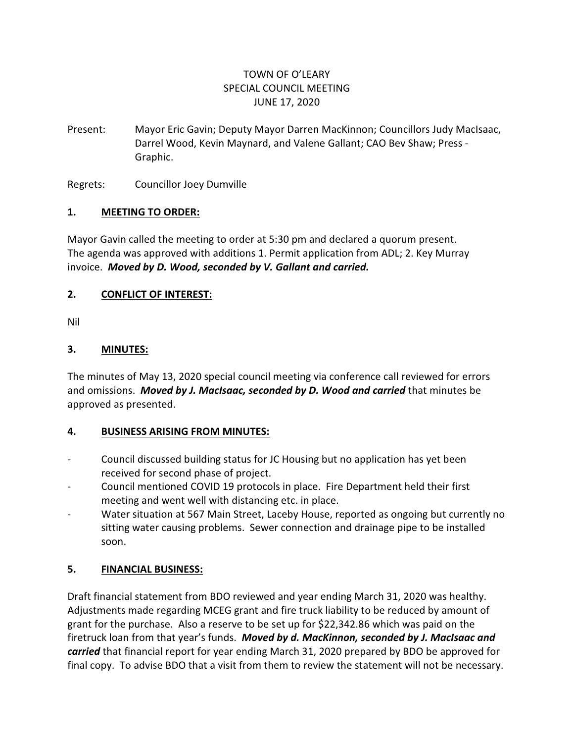# TOWN OF O'LEARY SPECIAL COUNCIL MEETING JUNE 17, 2020

Present: Mayor Eric Gavin; Deputy Mayor Darren MacKinnon; Councillors Judy MacIsaac, Darrel Wood, Kevin Maynard, and Valene Gallant; CAO Bev Shaw; Press - Graphic.

Regrets: Councillor Joey Dumville

#### **1. MEETING TO ORDER:**

Mayor Gavin called the meeting to order at 5:30 pm and declared a quorum present. The agenda was approved with additions 1. Permit application from ADL; 2. Key Murray invoice. *Moved by D. Wood, seconded by V. Gallant and carried.*

#### **2. CONFLICT OF INTEREST:**

Nil

#### **3. MINUTES:**

The minutes of May 13, 2020 special council meeting via conference call reviewed for errors and omissions. *Moved by J. MacIsaac, seconded by D. Wood and carried* that minutes be approved as presented.

#### **4. BUSINESS ARISING FROM MINUTES:**

- Council discussed building status for JC Housing but no application has yet been received for second phase of project.
- Council mentioned COVID 19 protocols in place. Fire Department held their first meeting and went well with distancing etc. in place.
- Water situation at 567 Main Street, Laceby House, reported as ongoing but currently no sitting water causing problems. Sewer connection and drainage pipe to be installed soon.

## **5. FINANCIAL BUSINESS:**

Draft financial statement from BDO reviewed and year ending March 31, 2020 was healthy. Adjustments made regarding MCEG grant and fire truck liability to be reduced by amount of grant for the purchase. Also a reserve to be set up for \$22,342.86 which was paid on the firetruck loan from that year's funds. *Moved by d. MacKinnon, seconded by J. MacIsaac and carried* that financial report for year ending March 31, 2020 prepared by BDO be approved for final copy. To advise BDO that a visit from them to review the statement will not be necessary.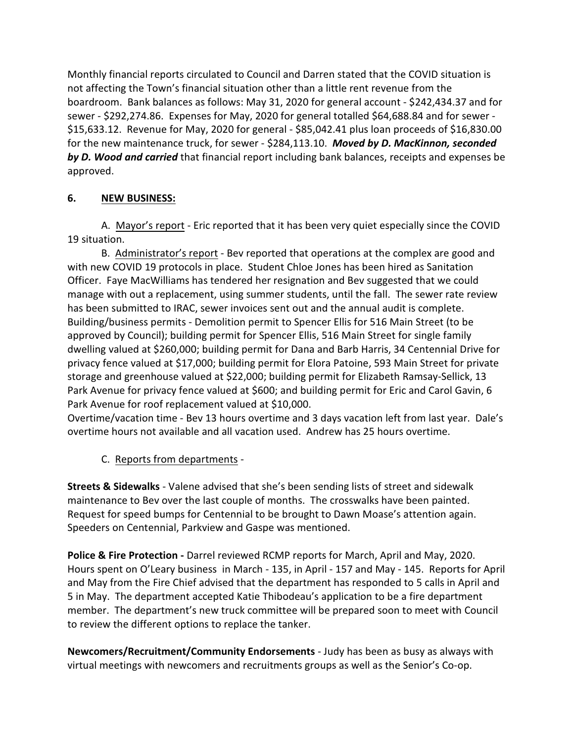Monthly financial reports circulated to Council and Darren stated that the COVID situation is not affecting the Town's financial situation other than a little rent revenue from the boardroom. Bank balances as follows: May 31, 2020 for general account - \$242,434.37 and for sewer - \$292,274.86. Expenses for May, 2020 for general totalled \$64,688.84 and for sewer - \$15,633.12. Revenue for May, 2020 for general - \$85,042.41 plus loan proceeds of \$16,830.00 for the new maintenance truck, for sewer - \$284,113.10. *Moved by D. MacKinnon, seconded by D. Wood and carried* that financial report including bank balances, receipts and expenses be approved.

## **6. NEW BUSINESS:**

A. Mayor's report - Eric reported that it has been very quiet especially since the COVID 19 situation.

B. Administrator's report - Bev reported that operations at the complex are good and with new COVID 19 protocols in place. Student Chloe Jones has been hired as Sanitation Officer. Faye MacWilliams has tendered her resignation and Bev suggested that we could manage with out a replacement, using summer students, until the fall. The sewer rate review has been submitted to IRAC, sewer invoices sent out and the annual audit is complete. Building/business permits - Demolition permit to Spencer Ellis for 516 Main Street (to be approved by Council); building permit for Spencer Ellis, 516 Main Street for single family dwelling valued at \$260,000; building permit for Dana and Barb Harris, 34 Centennial Drive for privacy fence valued at \$17,000; building permit for Elora Patoine, 593 Main Street for private storage and greenhouse valued at \$22,000; building permit for Elizabeth Ramsay-Sellick, 13 Park Avenue for privacy fence valued at \$600; and building permit for Eric and Carol Gavin, 6 Park Avenue for roof replacement valued at \$10,000.

Overtime/vacation time - Bev 13 hours overtime and 3 days vacation left from last year. Dale's overtime hours not available and all vacation used. Andrew has 25 hours overtime.

C. Reports from departments -

**Streets & Sidewalks** - Valene advised that she's been sending lists of street and sidewalk maintenance to Bev over the last couple of months. The crosswalks have been painted. Request for speed bumps for Centennial to be brought to Dawn Moase's attention again. Speeders on Centennial, Parkview and Gaspe was mentioned.

**Police & Fire Protection -** Darrel reviewed RCMP reports for March, April and May, 2020. Hours spent on O'Leary business in March - 135, in April - 157 and May - 145. Reports for April and May from the Fire Chief advised that the department has responded to 5 calls in April and 5 in May. The department accepted Katie Thibodeau's application to be a fire department member. The department's new truck committee will be prepared soon to meet with Council to review the different options to replace the tanker.

**Newcomers/Recruitment/Community Endorsements** - Judy has been as busy as always with virtual meetings with newcomers and recruitments groups as well as the Senior's Co-op.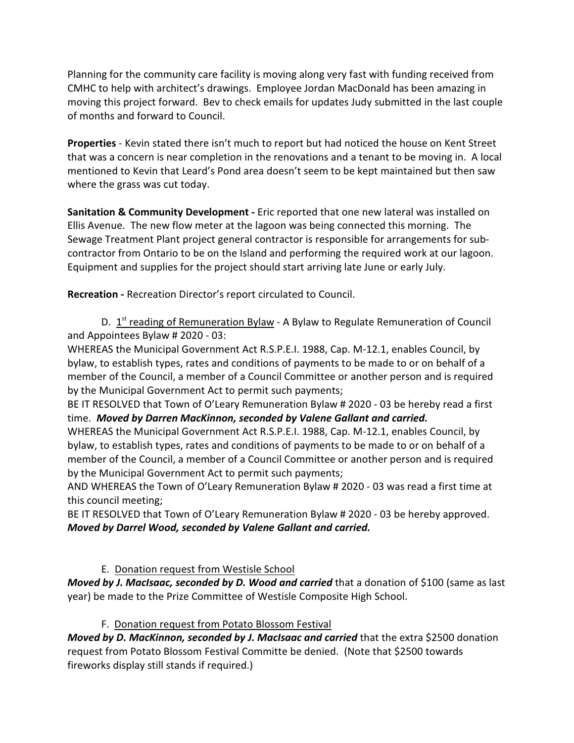Planning for the community care facility is moving along very fast with funding received from CMHC to help with architect's drawings. Employee Jordan MacDonald has been amazing in moving this project forward. Bev to check emails for updates Judy submitted in the last couple of months and forward to Council.

**Properties** - Kevin stated there isn't much to report but had noticed the house on Kent Street that was a concern is near completion in the renovations and a tenant to be moving in. A local mentioned to Kevin that Leard's Pond area doesn't seem to be kept maintained but then saw where the grass was cut today.

**Sanitation & Community Development -** Eric reported that one new lateral was installed on Ellis Avenue. The new flow meter at the lagoon was being connected this morning. The Sewage Treatment Plant project general contractor is responsible for arrangements for subcontractor from Ontario to be on the Island and performing the required work at our lagoon. Equipment and supplies for the project should start arriving late June or early July.

**Recreation -** Recreation Director's report circulated to Council.

D. 1<sup>st</sup> reading of Remuneration Bylaw - A Bylaw to Regulate Remuneration of Council and Appointees Bylaw # 2020 - 03:

WHEREAS the Municipal Government Act R.S.P.E.I. 1988, Cap. M-12.1, enables Council, by bylaw, to establish types, rates and conditions of payments to be made to or on behalf of a member of the Council, a member of a Council Committee or another person and is required by the Municipal Government Act to permit such payments;

BE IT RESOLVED that Town of O'Leary Remuneration Bylaw # 2020 - 03 be hereby read a first time. *Moved by Darren MacKinnon, seconded by Valene Gallant and carried.*

WHEREAS the Municipal Government Act R.S.P.E.I. 1988, Cap. M-12.1, enables Council, by bylaw, to establish types, rates and conditions of payments to be made to or on behalf of a member of the Council, a member of a Council Committee or another person and is required by the Municipal Government Act to permit such payments;

AND WHEREAS the Town of O'Leary Remuneration Bylaw # 2020 - 03 was read a first time at this council meeting;

BE IT RESOLVED that Town of O'Leary Remuneration Bylaw # 2020 - 03 be hereby approved. *Moved by Darrel Wood, seconded by Valene Gallant and carried.*

# E. Donation request from Westisle School

*Moved by J. MacIsaac, seconded by D. Wood and carried* that a donation of \$100 (same as last year) be made to the Prize Committee of Westisle Composite High School.

## F. Donation request from Potato Blossom Festival

*Moved by D. MacKinnon, seconded by J. MacIsaac and carried* that the extra \$2500 donation request from Potato Blossom Festival Committe be denied. (Note that \$2500 towards fireworks display still stands if required.)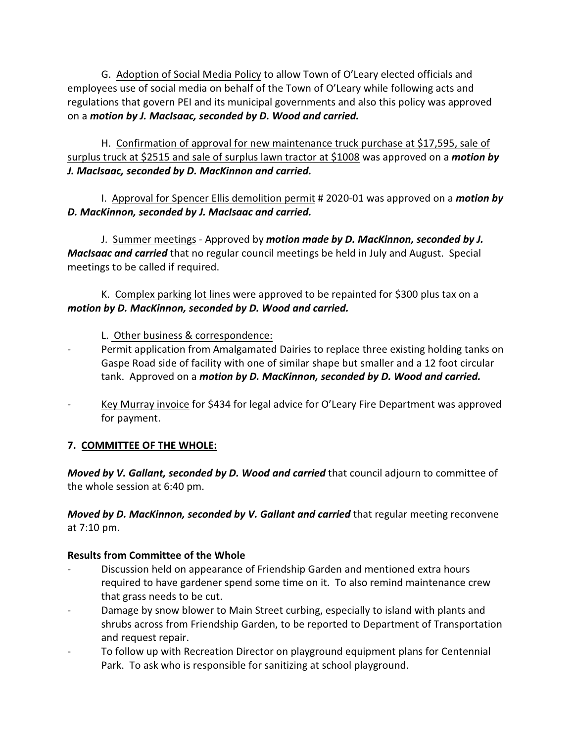G. Adoption of Social Media Policy to allow Town of O'Leary elected officials and employees use of social media on behalf of the Town of O'Leary while following acts and regulations that govern PEI and its municipal governments and also this policy was approved on a *motion by J. MacIsaac, seconded by D. Wood and carried.*

H. Confirmation of approval for new maintenance truck purchase at \$17,595, sale of surplus truck at \$2515 and sale of surplus lawn tractor at \$1008 was approved on a *motion by J. MacIsaac, seconded by D. MacKinnon and carried.*

I. Approval for Spencer Ellis demolition permit # 2020-01 was approved on a *motion by D. MacKinnon, seconded by J. MacIsaac and carried.*

J. Summer meetings - Approved by *motion made by D. MacKinnon, seconded by J. MacIsaac and carried* that no regular council meetings be held in July and August. Special meetings to be called if required.

K. Complex parking lot lines were approved to be repainted for \$300 plus tax on a *motion by D. MacKinnon, seconded by D. Wood and carried.*

L. Other business & correspondence:

- Permit application from Amalgamated Dairies to replace three existing holding tanks on Gaspe Road side of facility with one of similar shape but smaller and a 12 foot circular tank. Approved on a *motion by D. MacKinnon, seconded by D. Wood and carried.*
- Key Murray invoice for \$434 for legal advice for O'Leary Fire Department was approved for payment.

# **7. COMMITTEE OF THE WHOLE:**

*Moved by V. Gallant, seconded by D. Wood and carried* that council adjourn to committee of the whole session at 6:40 pm.

*Moved by D. MacKinnon, seconded by V. Gallant and carried* that regular meeting reconvene at 7:10 pm.

# **Results from Committee of the Whole**

- Discussion held on appearance of Friendship Garden and mentioned extra hours required to have gardener spend some time on it. To also remind maintenance crew that grass needs to be cut.
- Damage by snow blower to Main Street curbing, especially to island with plants and shrubs across from Friendship Garden, to be reported to Department of Transportation and request repair.
- To follow up with Recreation Director on playground equipment plans for Centennial Park. To ask who is responsible for sanitizing at school playground.